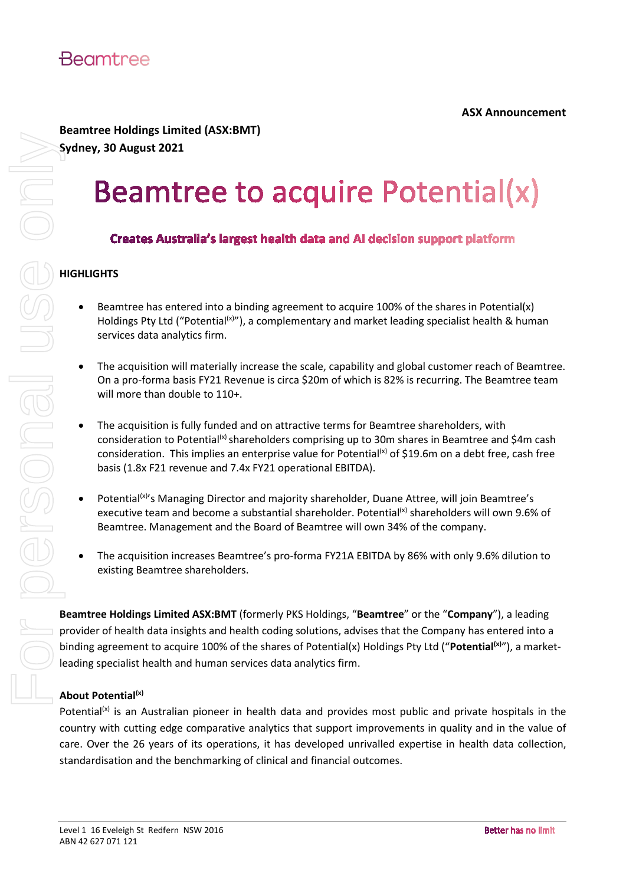

## **Beamtree Holdings Limited (ASX:BMT)**

**Sydney, 30 August 2021**

### **HIGHLIGHTS**

- Beamtree has entered into a binding agreement to acquire 100% of the shares in Potential(x) Holdings Pty Ltd ("Potential<sup>(x)</sup>"), a complementary and market leading specialist health & human services data analytics firm.
- The acquisition will materially increase the scale, capability and global customer reach of Beamtree. On a pro-forma basis FY21 Revenue is circa \$20m of which is 82% is recurring. The Beamtree team will more than double to 110+.
- The acquisition is fully funded and on attractive terms for Beamtree shareholders, with consideration to Potential<sup>(x)</sup> shareholders comprising up to 30m shares in Beamtree and \$4m cash consideration. This implies an enterprise value for Potential<sup>(x)</sup> of \$19.6m on a debt free, cash free basis (1.8x F21 revenue and 7.4x FY21 operational EBITDA).
- Potential<sup>(x)</sup>'s Managing Director and majority shareholder, Duane Attree, will join Beamtree's executive team and become a substantial shareholder. Potential<sup>(x)</sup> shareholders will own 9.6% of Beamtree. Management and the Board of Beamtree will own 34% of the company.
- The acquisition increases Beamtree's pro-forma FY21A EBITDA by 86% with only 9.6% dilution to existing Beamtree shareholders.

**Beamtree Holdings Limited ASX:BMT** (formerly PKS Holdings, "**Beamtree**" or the "**Company**"), a leading provider of health data insights and health coding solutions, advises that the Company has entered into a binding agreement to acquire 100% of the shares of Potential(x) Holdings Pty Ltd ("Potential<sup>(x)</sup>"), a marketleading specialist health and human services data analytics firm.

### **About Potential(x)**

Potential<sup>(x)</sup> is an Australian pioneer in health data and provides most public and private hospitals in the country with cutting edge comparative analytics that support improvements in quality and in the value of care. Over the 26 years of its operations, it has developed unrivalled expertise in health data collection,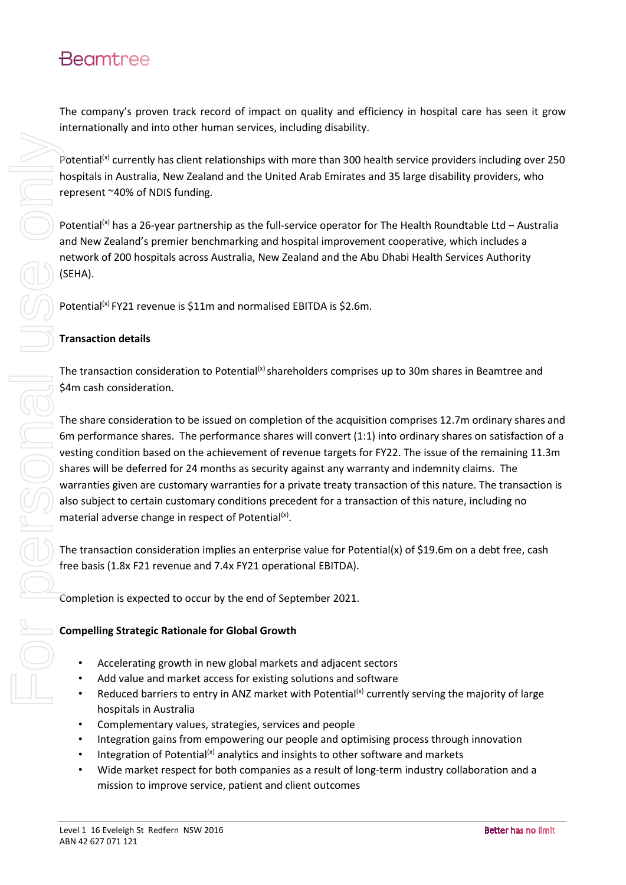# **Beamtree**

The company's proven track record of impact on quality and efficiency in hospital care has seen it grow internationally and into other human services, including disability.

Potential<sup>(x)</sup> currently has client relationships with more than 300 health service providers including over 250 hospitals in Australia, New Zealand and the United Arab Emirates and 35 large disability providers, who represent ~40% of NDIS funding.

Potential<sup>(x)</sup> has a 26-year partnership as the full-service operator for The Health Roundtable Ltd – Australia and New Zealand's premier benchmarking and hospital improvement cooperative, which includes a network of 200 hospitals across Australia, New Zealand and the Abu Dhabi Health Services Authority (SEHA).

Potential<sup>(x)</sup> FY21 revenue is \$11m and normalised EBITDA is \$2.6m.

#### **Transaction details**

The transaction consideration to Potential<sup>(x)</sup> shareholders comprises up to 30m shares in Beamtree and \$4m cash consideration.

The share consideration to be issued on completion of the acquisition comprises 12.7m ordinary shares and 6m performance shares. The performance shares will convert (1:1) into ordinary shares on satisfaction of a vesting condition based on the achievement of revenue targets for FY22. The issue of the remaining 11.3m shares will be deferred for 24 months as security against any warranty and indemnity claims. The warranties given are customary warranties for a private treaty transaction of this nature. The transaction is also subject to certain customary conditions precedent for a transaction of this nature, including no material adverse change in respect of Potential<sup>(x)</sup>.

The transaction consideration implies an enterprise value for Potential(x) of \$19.6m on a debt free, cash free basis (1.8x F21 revenue and 7.4x FY21 operational EBITDA).

Completion is expected to occur by the end of September 2021.

#### **Compelling Strategic Rationale for Global Growth**

- Accelerating growth in new global markets and adjacent sectors
- Add value and market access for existing solutions and software
- Reduced barriers to entry in ANZ market with Potential<sup>(x)</sup> currently serving the majority of large hospitals in Australia
- Complementary values, strategies, services and people
- Integration gains from empowering our people and optimising process through innovation
- Integration of Potential<sup>(x)</sup> analytics and insights to other software and markets
- Wide market respect for both companies as a result of long-term industry collaboration and a mission to improve service, patient and client outcomes